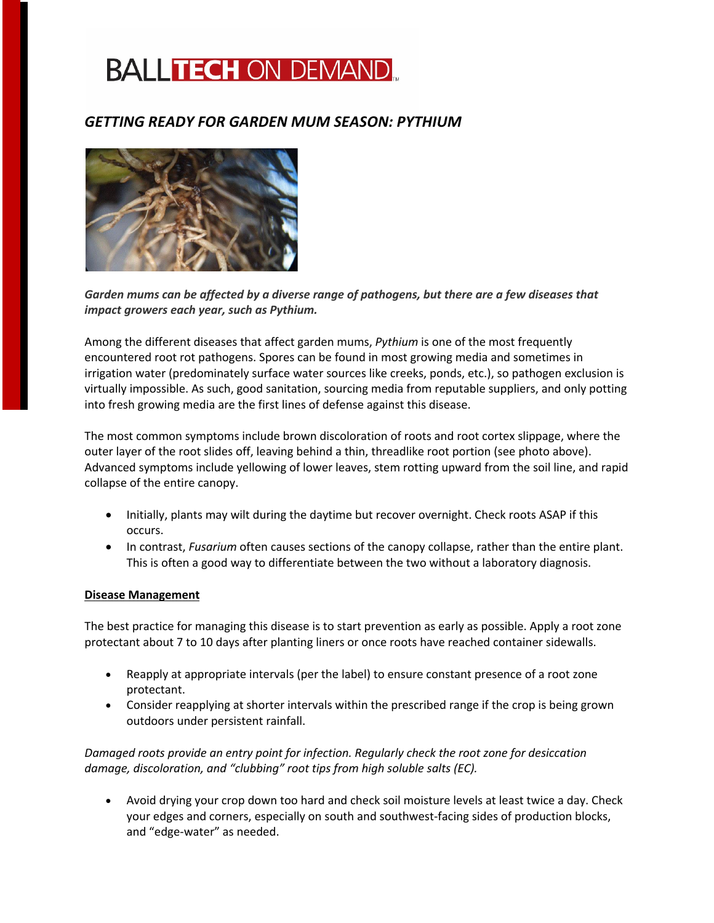## **BALLTECH ON DEMAND.**

## *GETTING READY FOR GARDEN MUM SEASON: PYTHIUM*



*Garden mums can be affected by a diverse range of pathogens, but there are a few diseases that impact growers each year, such as Pythium.* 

Among the different diseases that affect garden mums, *Pythium* is one of the most frequently encountered root rot pathogens. Spores can be found in most growing media and sometimes in irrigation water (predominately surface water sources like creeks, ponds, etc.), so pathogen exclusion is virtually impossible. As such, good sanitation, sourcing media from reputable suppliers, and only potting into fresh growing media are the first lines of defense against this disease.

The most common symptoms include brown discoloration of roots and root cortex slippage, where the outer layer of the root slides off, leaving behind a thin, threadlike root portion (see photo above). Advanced symptoms include yellowing of lower leaves, stem rotting upward from the soil line, and rapid collapse of the entire canopy.

- Initially, plants may wilt during the daytime but recover overnight. Check roots ASAP if this occurs.
- In contrast, *Fusarium* often causes sections of the canopy collapse, rather than the entire plant. This is often a good way to differentiate between the two without a laboratory diagnosis.

## **Disease Management**

The best practice for managing this disease is to start prevention as early as possible. Apply a root zone protectant about 7 to 10 days after planting liners or once roots have reached container sidewalls.

- Reapply at appropriate intervals (per the label) to ensure constant presence of a root zone protectant.
- Consider reapplying at shorter intervals within the prescribed range if the crop is being grown outdoors under persistent rainfall.

*Damaged roots provide an entry point for infection. Regularly check the root zone for desiccation damage, discoloration, and "clubbing" root tips from high soluble salts (EC).*

• Avoid drying your crop down too hard and check soil moisture levels at least twice a day. Check your edges and corners, especially on south and southwest-facing sides of production blocks, and "edge-water" as needed.